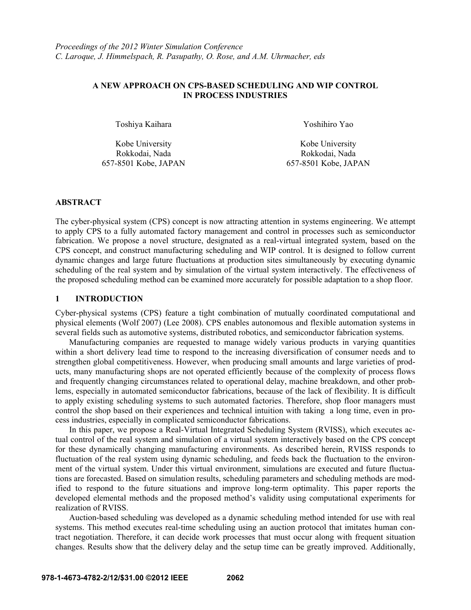## **A NEW APPROACH ON CPS-BASED SCHEDULING AND WIP CONTROL IN PROCESS INDUSTRIES**

Toshiya Kaihara Xoshihiro Yao

Kobe University **Kobe University** Rokkodai, Nada Rokkodai, Nada 657-8501 Kobe, JAPAN 657-8501 Kobe, JAPAN

#### **ABSTRACT**

The cyber-physical system (CPS) concept is now attracting attention in systems engineering. We attempt to apply CPS to a fully automated factory management and control in processes such as semiconductor fabrication. We propose a novel structure, designated as a real-virtual integrated system, based on the CPS concept, and construct manufacturing scheduling and WIP control. It is designed to follow current dynamic changes and large future fluctuations at production sites simultaneously by executing dynamic scheduling of the real system and by simulation of the virtual system interactively. The effectiveness of the proposed scheduling method can be examined more accurately for possible adaptation to a shop floor.

## **1 INTRODUCTION**

Cyber-physical systems (CPS) feature a tight combination of mutually coordinated computational and physical elements (Wolf 2007) (Lee 2008). CPS enables autonomous and flexible automation systems in several fields such as automotive systems, distributed robotics, and semiconductor fabrication systems.

Manufacturing companies are requested to manage widely various products in varying quantities within a short delivery lead time to respond to the increasing diversification of consumer needs and to strengthen global competitiveness. However, when producing small amounts and large varieties of products, many manufacturing shops are not operated efficiently because of the complexity of process flows and frequently changing circumstances related to operational delay, machine breakdown, and other problems, especially in automated semiconductor fabrications, because of the lack of flexibility. It is difficult to apply existing scheduling systems to such automated factories. Therefore, shop floor managers must control the shop based on their experiences and technical intuition with taking a long time, even in process industries, especially in complicated semiconductor fabrications.

In this paper, we propose a Real-Virtual Integrated Scheduling System (RVISS), which executes actual control of the real system and simulation of a virtual system interactively based on the CPS concept for these dynamically changing manufacturing environments. As described herein, RVISS responds to fluctuation of the real system using dynamic scheduling, and feeds back the fluctuation to the environment of the virtual system. Under this virtual environment, simulations are executed and future fluctuations are forecasted. Based on simulation results, scheduling parameters and scheduling methods are modified to respond to the future situations and improve long-term optimality. This paper reports the developed elemental methods and the proposed method's validity using computational experiments for realization of RVISS.

Auction-based scheduling was developed as a dynamic scheduling method intended for use with real systems. This method executes real-time scheduling using an auction protocol that imitates human contract negotiation. Therefore, it can decide work processes that must occur along with frequent situation changes. Results show that the delivery delay and the setup time can be greatly improved. Additionally,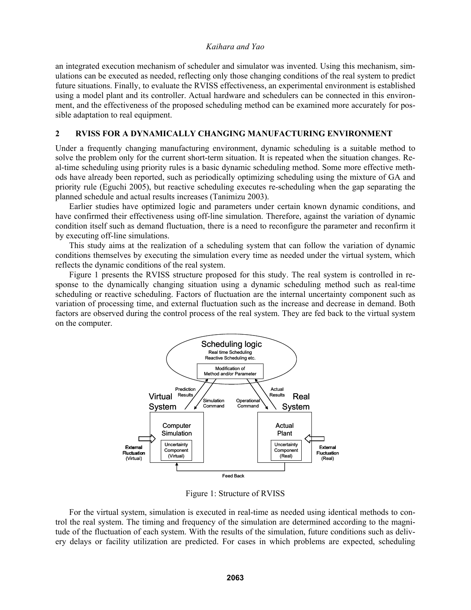an integrated execution mechanism of scheduler and simulator was invented. Using this mechanism, simulations can be executed as needed, reflecting only those changing conditions of the real system to predict future situations. Finally, to evaluate the RVISS effectiveness, an experimental environment is established using a model plant and its controller. Actual hardware and schedulers can be connected in this environment, and the effectiveness of the proposed scheduling method can be examined more accurately for possible adaptation to real equipment.

### **2 RVISS FOR A DYNAMICALLY CHANGING MANUFACTURING ENVIRONMENT**

Under a frequently changing manufacturing environment, dynamic scheduling is a suitable method to solve the problem only for the current short-term situation. It is repeated when the situation changes. Real-time scheduling using priority rules is a basic dynamic scheduling method. Some more effective methods have already been reported, such as periodically optimizing scheduling using the mixture of GA and priority rule (Eguchi 2005), but reactive scheduling executes re-scheduling when the gap separating the planned schedule and actual results increases (Tanimizu 2003).

Earlier studies have optimized logic and parameters under certain known dynamic conditions, and have confirmed their effectiveness using off-line simulation. Therefore, against the variation of dynamic condition itself such as demand fluctuation, there is a need to reconfigure the parameter and reconfirm it by executing off-line simulations.

This study aims at the realization of a scheduling system that can follow the variation of dynamic conditions themselves by executing the simulation every time as needed under the virtual system, which reflects the dynamic conditions of the real system.

Figure 1 presents the RVISS structure proposed for this study. The real system is controlled in response to the dynamically changing situation using a dynamic scheduling method such as real-time scheduling or reactive scheduling. Factors of fluctuation are the internal uncertainty component such as variation of processing time, and external fluctuation such as the increase and decrease in demand. Both factors are observed during the control process of the real system. They are fed back to the virtual system on the computer.



Figure 1: Structure of RVISS

For the virtual system, simulation is executed in real-time as needed using identical methods to control the real system. The timing and frequency of the simulation are determined according to the magnitude of the fluctuation of each system. With the results of the simulation, future conditions such as delivery delays or facility utilization are predicted. For cases in which problems are expected, scheduling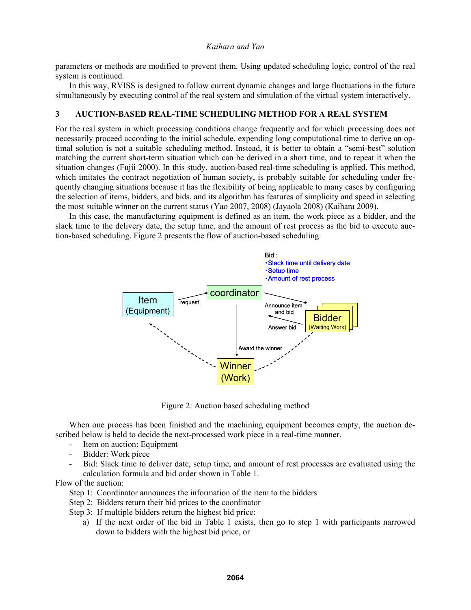parameters or methods are modified to prevent them. Using updated scheduling logic, control of the real system is continued.

In this way, RVISS is designed to follow current dynamic changes and large fluctuations in the future simultaneously by executing control of the real system and simulation of the virtual system interactively.

## **3 AUCTION-BASED REAL-TIME SCHEDULING METHOD FOR A REAL SYSTEM**

For the real system in which processing conditions change frequently and for which processing does not necessarily proceed according to the initial schedule, expending long computational time to derive an optimal solution is not a suitable scheduling method. Instead, it is better to obtain a "semi-best" solution matching the current short-term situation which can be derived in a short time, and to repeat it when the situation changes (Fujii 2000). In this study, auction-based real-time scheduling is applied. This method, which imitates the contract negotiation of human society, is probably suitable for scheduling under frequently changing situations because it has the flexibility of being applicable to many cases by configuring the selection of items, bidders, and bids, and its algorithm has features of simplicity and speed in selecting the most suitable winner on the current status (Yao 2007, 2008) (Jayaola 2008) (Kaihara 2009).

In this case, the manufacturing equipment is defined as an item, the work piece as a bidder, and the slack time to the delivery date, the setup time, and the amount of rest process as the bid to execute auction-based scheduling. Figure 2 presents the flow of auction-based scheduling.



Figure 2: Auction based scheduling method

When one process has been finished and the machining equipment becomes empty, the auction described below is held to decide the next-processed work piece in a real-time manner.

- Item on auction: Equipment
- Bidder: Work piece
- Bid: Slack time to deliver date, setup time, and amount of rest processes are evaluated using the calculation formula and bid order shown in Table 1.

Flow of the auction:

- Step 1: Coordinator announces the information of the item to the bidders
- Step 2: Bidders return their bid prices to the coordinator
- Step 3: If multiple bidders return the highest bid price:
	- a) If the next order of the bid in Table 1 exists, then go to step 1 with participants narrowed down to bidders with the highest bid price, or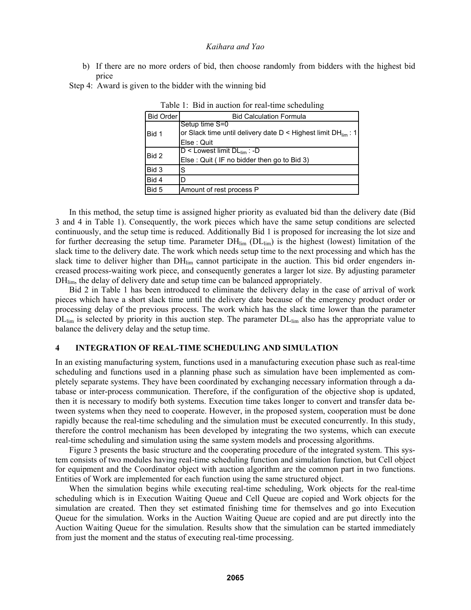b) If there are no more orders of bid, then choose randomly from bidders with the highest bid price

Step 4: Award is given to the bidder with the winning bid

| Bid Order | <b>Bid Calculation Formula</b>                                                                               |
|-----------|--------------------------------------------------------------------------------------------------------------|
| Bid 1     | Setup time S=0<br>or Slack time until delivery date $D <$ Highest limit DH <sub>lim</sub> : 1<br>Else : Quit |
| Bid 2     | $D <$ Lowest limit $DL_{lim}$ : -D<br>Else: Quit (IF no bidder then go to Bid 3)                             |
| Bid 3     | S                                                                                                            |
| Bid 4     | D                                                                                                            |
| Bid 5     | Amount of rest process P                                                                                     |

Table 1: Bid in auction for real-time scheduling

In this method, the setup time is assigned higher priority as evaluated bid than the delivery date (Bid 3 and 4 in Table 1). Consequently, the work pieces which have the same setup conditions are selected continuously, and the setup time is reduced. Additionally Bid 1 is proposed for increasing the lot size and for further decreasing the setup time. Parameter  $DH_{\text{lim}} (DL_{\text{lim}})$  is the highest (lowest) limitation of the slack time to the delivery date. The work which needs setup time to the next processing and which has the slack time to deliver higher than DH<sub>lim</sub> cannot participate in the auction. This bid order engenders increased process-waiting work piece, and consequently generates a larger lot size. By adjusting parameter DH<sub>lim</sub>, the delay of delivery date and setup time can be balanced appropriately.

Bid 2 in Table 1 has been introduced to eliminate the delivery delay in the case of arrival of work pieces which have a short slack time until the delivery date because of the emergency product order or processing delay of the previous process. The work which has the slack time lower than the parameter DL<sub>lim</sub> is selected by priority in this auction step. The parameter DL<sub>lim</sub> also has the appropriate value to balance the delivery delay and the setup time.

## **4 INTEGRATION OF REAL-TIME SCHEDULING AND SIMULATION**

In an existing manufacturing system, functions used in a manufacturing execution phase such as real-time scheduling and functions used in a planning phase such as simulation have been implemented as completely separate systems. They have been coordinated by exchanging necessary information through a database or inter-process communication. Therefore, if the configuration of the objective shop is updated, then it is necessary to modify both systems. Execution time takes longer to convert and transfer data between systems when they need to cooperate. However, in the proposed system, cooperation must be done rapidly because the real-time scheduling and the simulation must be executed concurrently. In this study, therefore the control mechanism has been developed by integrating the two systems, which can execute real-time scheduling and simulation using the same system models and processing algorithms.

Figure 3 presents the basic structure and the cooperating procedure of the integrated system. This system consists of two modules having real-time scheduling function and simulation function, but Cell object for equipment and the Coordinator object with auction algorithm are the common part in two functions. Entities of Work are implemented for each function using the same structured object.

When the simulation begins while executing real-time scheduling, Work objects for the real-time scheduling which is in Execution Waiting Queue and Cell Queue are copied and Work objects for the simulation are created. Then they set estimated finishing time for themselves and go into Execution Queue for the simulation. Works in the Auction Waiting Queue are copied and are put directly into the Auction Waiting Queue for the simulation. Results show that the simulation can be started immediately from just the moment and the status of executing real-time processing.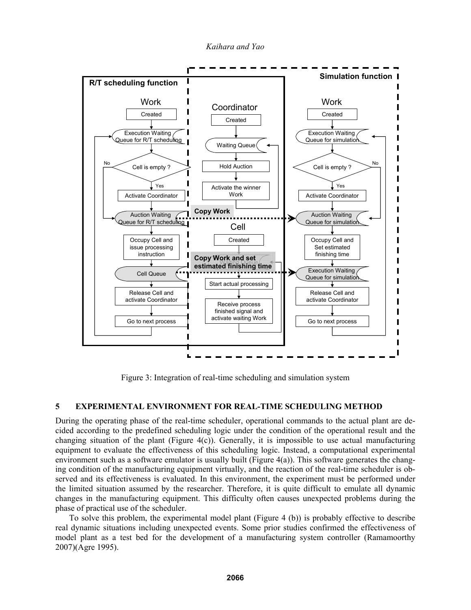*Kaihara and Yao* 



Figure 3: Integration of real-time scheduling and simulation system

# **5 EXPERIMENTAL ENVIRONMENT FOR REAL-TIME SCHEDULING METHOD**

During the operating phase of the real-time scheduler, operational commands to the actual plant are decided according to the predefined scheduling logic under the condition of the operational result and the changing situation of the plant (Figure 4(c)). Generally, it is impossible to use actual manufacturing equipment to evaluate the effectiveness of this scheduling logic. Instead, a computational experimental environment such as a software emulator is usually built (Figure  $4(a)$ ). This software generates the changing condition of the manufacturing equipment virtually, and the reaction of the real-time scheduler is observed and its effectiveness is evaluated. In this environment, the experiment must be performed under the limited situation assumed by the researcher. Therefore, it is quite difficult to emulate all dynamic changes in the manufacturing equipment. This difficulty often causes unexpected problems during the phase of practical use of the scheduler.

To solve this problem, the experimental model plant (Figure 4 (b)) is probably effective to describe real dynamic situations including unexpected events. Some prior studies confirmed the effectiveness of model plant as a test bed for the development of a manufacturing system controller (Ramamoorthy 2007)(Agre 1995).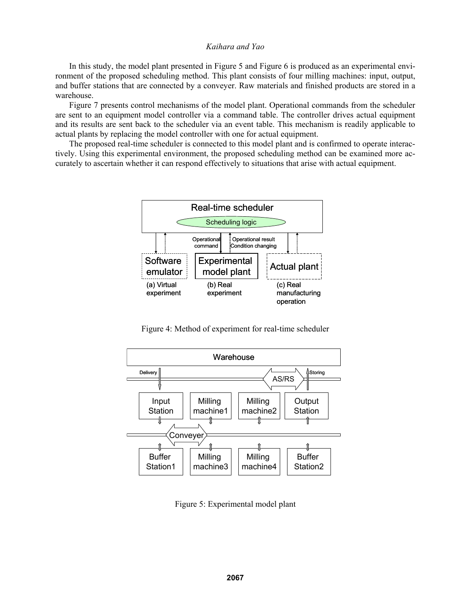In this study, the model plant presented in Figure 5 and Figure 6 is produced as an experimental environment of the proposed scheduling method. This plant consists of four milling machines: input, output, and buffer stations that are connected by a conveyer. Raw materials and finished products are stored in a warehouse.

Figure 7 presents control mechanisms of the model plant. Operational commands from the scheduler are sent to an equipment model controller via a command table. The controller drives actual equipment and its results are sent back to the scheduler via an event table. This mechanism is readily applicable to actual plants by replacing the model controller with one for actual equipment.

The proposed real-time scheduler is connected to this model plant and is confirmed to operate interactively. Using this experimental environment, the proposed scheduling method can be examined more accurately to ascertain whether it can respond effectively to situations that arise with actual equipment.



Figure 4: Method of experiment for real-time scheduler



Figure 5: Experimental model plant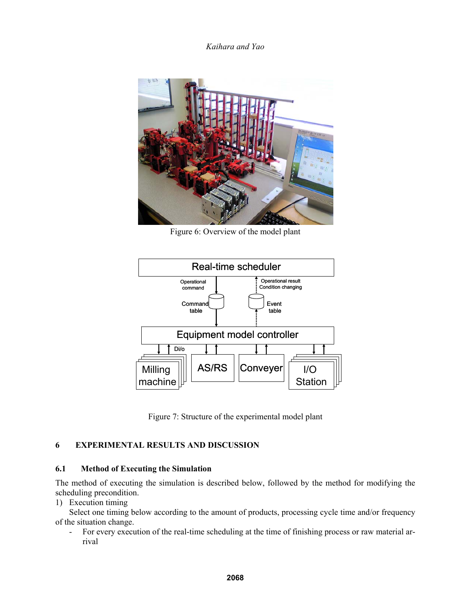

Figure 6: Overview of the model plant



Figure 7: Structure of the experimental model plant

# **6 EXPERIMENTAL RESULTS AND DISCUSSION**

## **6.1 Method of Executing the Simulation**

The method of executing the simulation is described below, followed by the method for modifying the scheduling precondition.

1) Execution timing

Select one timing below according to the amount of products, processing cycle time and/or frequency of the situation change.

- For every execution of the real-time scheduling at the time of finishing process or raw material arrival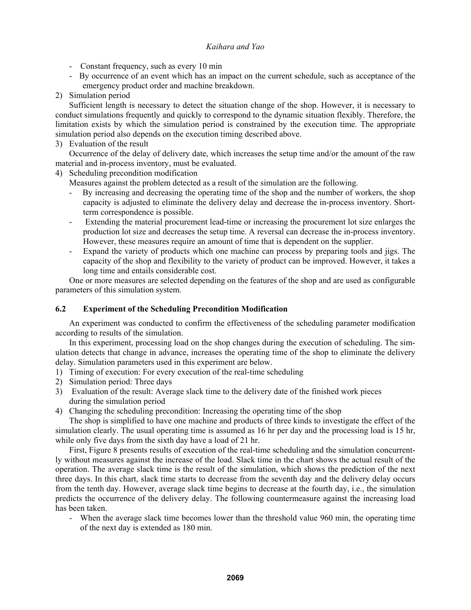- Constant frequency, such as every 10 min
- By occurrence of an event which has an impact on the current schedule, such as acceptance of the emergency product order and machine breakdown.
- 2) Simulation period

Sufficient length is necessary to detect the situation change of the shop. However, it is necessary to conduct simulations frequently and quickly to correspond to the dynamic situation flexibly. Therefore, the limitation exists by which the simulation period is constrained by the execution time. The appropriate simulation period also depends on the execution timing described above.

3) Evaluation of the result

Occurrence of the delay of delivery date, which increases the setup time and/or the amount of the raw material and in-process inventory, must be evaluated.

4) Scheduling precondition modification

Measures against the problem detected as a result of the simulation are the following.

- By increasing and decreasing the operating time of the shop and the number of workers, the shop capacity is adjusted to eliminate the delivery delay and decrease the in-process inventory. Shortterm correspondence is possible.
- Extending the material procurement lead-time or increasing the procurement lot size enlarges the production lot size and decreases the setup time. A reversal can decrease the in-process inventory. However, these measures require an amount of time that is dependent on the supplier.
- Expand the variety of products which one machine can process by preparing tools and jigs. The capacity of the shop and flexibility to the variety of product can be improved. However, it takes a long time and entails considerable cost.

One or more measures are selected depending on the features of the shop and are used as configurable parameters of this simulation system.

## **6.2 Experiment of the Scheduling Precondition Modification**

An experiment was conducted to confirm the effectiveness of the scheduling parameter modification according to results of the simulation.

In this experiment, processing load on the shop changes during the execution of scheduling. The simulation detects that change in advance, increases the operating time of the shop to eliminate the delivery delay. Simulation parameters used in this experiment are below.

- 1) Timing of execution: For every execution of the real-time scheduling
- 2) Simulation period: Three days
- 3) Evaluation of the result: Average slack time to the delivery date of the finished work pieces during the simulation period
- 4) Changing the scheduling precondition: Increasing the operating time of the shop

The shop is simplified to have one machine and products of three kinds to investigate the effect of the simulation clearly. The usual operating time is assumed as 16 hr per day and the processing load is 15 hr, while only five days from the sixth day have a load of 21 hr.

First, Figure 8 presents results of execution of the real-time scheduling and the simulation concurrently without measures against the increase of the load. Slack time in the chart shows the actual result of the operation. The average slack time is the result of the simulation, which shows the prediction of the next three days. In this chart, slack time starts to decrease from the seventh day and the delivery delay occurs from the tenth day. However, average slack time begins to decrease at the fourth day, i.e., the simulation predicts the occurrence of the delivery delay. The following countermeasure against the increasing load has been taken.

- When the average slack time becomes lower than the threshold value 960 min, the operating time of the next day is extended as 180 min.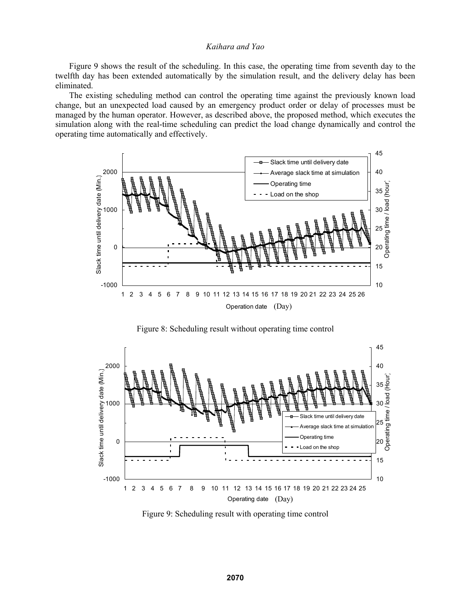Figure 9 shows the result of the scheduling. In this case, the operating time from seventh day to the twelfth day has been extended automatically by the simulation result, and the delivery delay has been eliminated.

The existing scheduling method can control the operating time against the previously known load change, but an unexpected load caused by an emergency product order or delay of processes must be managed by the human operator. However, as described above, the proposed method, which executes the simulation along with the real-time scheduling can predict the load change dynamically and control the operating time automatically and effectively.



Figure 8: Scheduling result without operating time control



Figure 9: Scheduling result with operating time control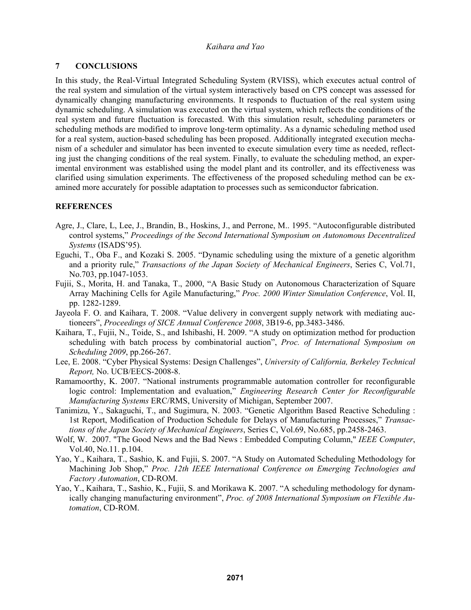# **7 CONCLUSIONS**

In this study, the Real-Virtual Integrated Scheduling System (RVISS), which executes actual control of the real system and simulation of the virtual system interactively based on CPS concept was assessed for dynamically changing manufacturing environments. It responds to fluctuation of the real system using dynamic scheduling. A simulation was executed on the virtual system, which reflects the conditions of the real system and future fluctuation is forecasted. With this simulation result, scheduling parameters or scheduling methods are modified to improve long-term optimality. As a dynamic scheduling method used for a real system, auction-based scheduling has been proposed. Additionally integrated execution mechanism of a scheduler and simulator has been invented to execute simulation every time as needed, reflecting just the changing conditions of the real system. Finally, to evaluate the scheduling method, an experimental environment was established using the model plant and its controller, and its effectiveness was clarified using simulation experiments. The effectiveness of the proposed scheduling method can be examined more accurately for possible adaptation to processes such as semiconductor fabrication.

# **REFERENCES**

- Agre, J., Clare, L, Lee, J., Brandin, B., Hoskins, J., and Perrone, M.. 1995. "Autoconfigurable distributed control systems," *Proceedings of the Second International Symposium on Autonomous Decentralized Systems* (ISADS'95).
- Eguchi, T., Oba F., and Kozaki S. 2005. "Dynamic scheduling using the mixture of a genetic algorithm and a priority rule," *Transactions of the Japan Society of Mechanical Engineers*, Series C, Vol.71, No.703, pp.1047-1053.
- Fujii, S., Morita, H. and Tanaka, T., 2000, "A Basic Study on Autonomous Characterization of Square Array Machining Cells for Agile Manufacturing," *Proc. 2000 Winter Simulation Conference*, Vol. II, pp. 1282-1289.
- Jayeola F. O. and Kaihara, T. 2008. "Value delivery in convergent supply network with mediating auctioneers", *Proceedings of SICE Annual Conference 2008*, 3B19-6, pp.3483-3486.
- Kaihara, T., Fujii, N., Toide, S., and Ishibashi, H. 2009. "A study on optimization method for production scheduling with batch process by combinatorial auction", *Proc. of International Symposium on Scheduling 2009*, pp.266-267.
- Lee, E. 2008. "Cyber Physical Systems: Design Challenges", *University of California, Berkeley Technical Report,* No. UCB/EECS-2008-8.
- Ramamoorthy, K. 2007. "National instruments programmable automation controller for reconfigurable logic control: Implementation and evaluation," *Engineering Research Center for Reconfigurable Manufacturing Systems* ERC/RMS, University of Michigan, September 2007.
- Tanimizu, Y., Sakaguchi, T., and Sugimura, N. 2003. "Genetic Algorithm Based Reactive Scheduling : 1st Report, Modification of Production Schedule for Delays of Manufacturing Processes," *Transactions of the Japan Society of Mechanical Engineers*, Series C, Vol.69, No.685, pp.2458-2463.
- Wolf, W. 2007. "The Good News and the Bad News : Embedded Computing Column," *IEEE Computer*, Vol.40, No.11. p.104.
- Yao, Y., Kaihara, T., Sashio, K. and Fujii, S. 2007. "A Study on Automated Scheduling Methodology for Machining Job Shop," *Proc. 12th IEEE International Conference on Emerging Technologies and Factory Automation*, CD-ROM.
- Yao, Y., Kaihara, T., Sashio, K., Fujii, S. and Morikawa K. 2007. "A scheduling methodology for dynamically changing manufacturing environment", *Proc. of 2008 International Symposium on Flexible Automation*, CD-ROM.